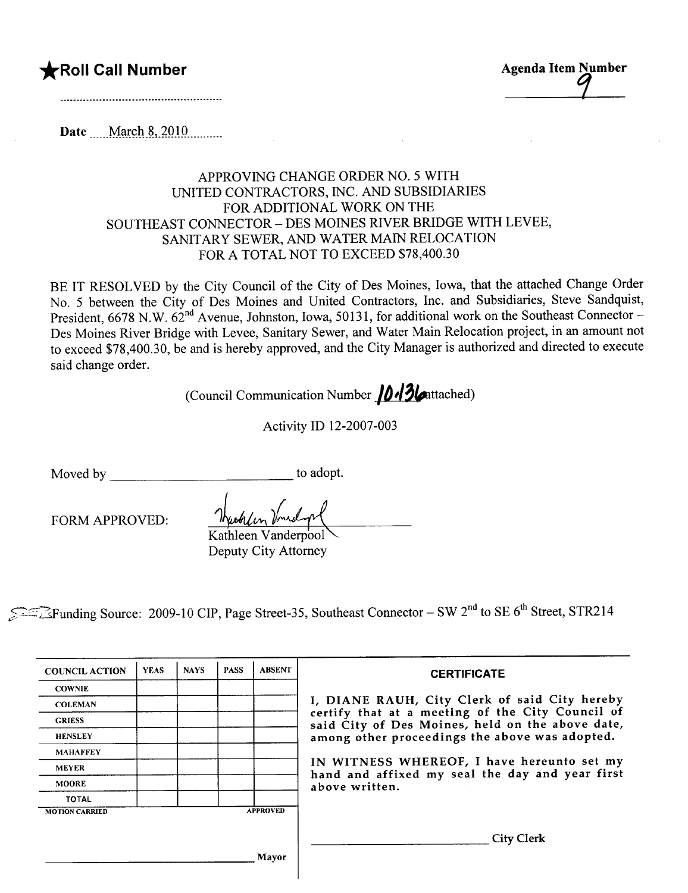## **FROII Call Number Agents Agenda Item Number** Agenda Item Number

 $\mathcal I$ 

Date March 8, 2010

## APPROVING CHANGE ORDER NO.5 WITH UNITED CONTRACTORS, INC. AND SUBSIDIARIES FOR ADDITIONAL WORK ON THE SOUTHEAST CONNECTOR - DES MOINES RIVER BRIDGE WITH LEVEE, SANITARY SEWER, AND WATER MAIN RELOCATION FOR A TOTAL NOT TO EXCEED \$78,400.30

BE IT RESOLVED by the City Council of the City of Des Moines, Iowa, that the attached Change Order No.5 between the City of Des Moines and United Contractors, Inc. and Subsidiaries, Steve Sandquist, President, 6678 N.W.  $62^{nd}$  Avenue, Johnston, Iowa, 50131, for additional work on the Southeast Connector-Des Moines River Bridge with Levee, Sanitary Sewer, and Water Main Relocation project, in an amount not to exceed \$78,400.30, be and is hereby approved, and the City Manager is authorized and directed to execute said change order.

(Council Communication Number  $10/3$  attached)

Activity ID 12-2007-003

Moved by to adopt.

FORM APPROVED:

to adop<br>metres in the day<br>Kathleen Vanderpool

Deputy City Attorney

**See 2009-10 CIP, Page Street-35, Southeast Connector - SW 2<sup>nd</sup> to SE 6<sup>th</sup> Street, STR214** 

| <b>COUNCIL ACTION</b> | <b>YEAS</b> | <b>NAYS</b> | <b>PASS</b> | <b>ABSENT</b>   | <b>CERTIFICATE</b>                                                                                              |  |  |
|-----------------------|-------------|-------------|-------------|-----------------|-----------------------------------------------------------------------------------------------------------------|--|--|
| <b>COWNIE</b>         |             |             |             |                 |                                                                                                                 |  |  |
| <b>COLEMAN</b>        |             |             |             |                 | I, DIANE RAUH, City Clerk of said City hereby                                                                   |  |  |
| <b>GRIESS</b>         |             |             |             |                 | certify that at a meeting of the City Council of<br>said City of Des Moines, held on the above date,            |  |  |
| <b>HENSLEY</b>        |             |             |             |                 | among other proceedings the above was adopted.                                                                  |  |  |
| <b>MAHAFFEY</b>       |             |             |             |                 |                                                                                                                 |  |  |
| <b>MEYER</b>          |             |             |             |                 | IN WITNESS WHEREOF, I have hereunto set my<br>hand and affixed my seal the day and year first<br>above written. |  |  |
| <b>MOORE</b>          |             |             |             |                 |                                                                                                                 |  |  |
| <b>TOTAL</b>          |             |             |             |                 |                                                                                                                 |  |  |
| <b>MOTION CARRIED</b> |             |             |             | <b>APPROVED</b> |                                                                                                                 |  |  |
|                       |             |             |             |                 |                                                                                                                 |  |  |
|                       |             |             |             |                 | <b>City Clerk</b>                                                                                               |  |  |
|                       |             |             |             | Mayor           |                                                                                                                 |  |  |